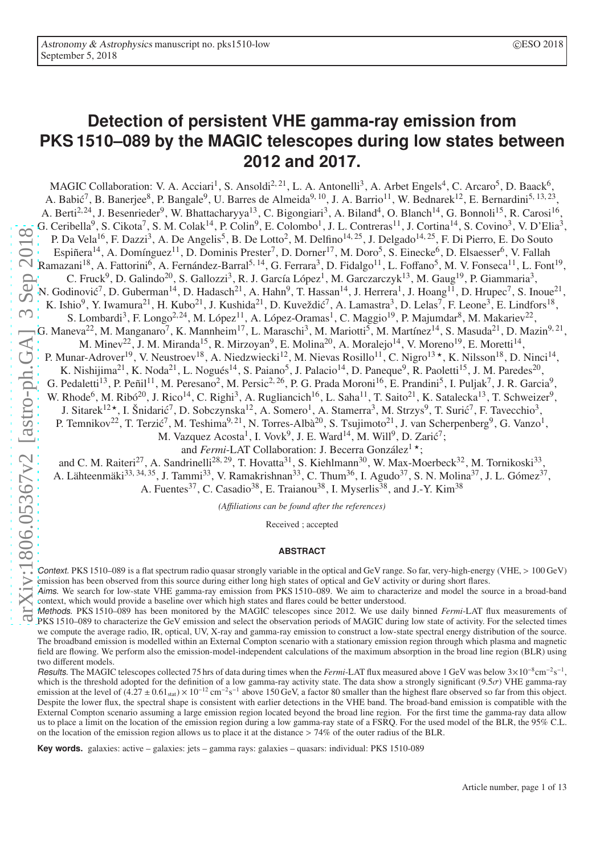# **Detection of persistent VHE gamma-ray emission from PKS 1510–089 by the MAGIC telescopes during low states between 2012 and 2017.**

MAGIC Collaboration: V. A. Acciari<sup>1</sup>, S. Ansoldi<sup>2, 21</sup>, L. A. Antonelli<sup>3</sup>, A. Arbet Engels<sup>4</sup>, C. Arcaro<sup>5</sup>, D. Baack<sup>6</sup>, A. Babić<sup>7</sup>, B. Banerjee<sup>8</sup>, P. Bangale<sup>9</sup>, U. Barres de Almeida<sup>9, 10</sup>, J. A. Barrio<sup>11</sup>, W. Bednarek<sup>12</sup>, E. Bernardini<sup>5, 13, 23</sup>, A. Berti<sup>2,24</sup>, J. Besenrieder<sup>9</sup>, W. Bhattacharyya<sup>13</sup>, C. Bigongiari<sup>3</sup>, A. Biland<sup>4</sup>, O. Blanch<sup>14</sup>, G. Bonnoli<sup>15</sup>, R. Carosi<sup>16</sup>, G. Ceribella<sup>9</sup>, S. Cikota<sup>7</sup>, S. M. Colak<sup>14</sup>, P. Colin<sup>9</sup>, E. Colombo<sup>1</sup>, J. L. Contreras<sup>11</sup>, J. Cortina<sup>14</sup>, S. Covino<sup>3</sup>, V. D'Elia<sup>3</sup>, P. Da Vela<sup>16</sup>, F. Dazzi<sup>3</sup>, A. De Angelis<sup>5</sup>, B. De Lotto<sup>2</sup>, M. Delfino<sup>14, 25</sup>, J. Delgado<sup>14, 25</sup>, F. Di Pierro, E. Do Souto Espiñera<sup>14</sup>, A. Domínguez<sup>11</sup>, D. Dominis Prester<sup>7</sup>, D. Dorner<sup>17</sup>, M. Doro<sup>5</sup>, S. Einecke<sup>6</sup>, D. Elsaesser<sup>6</sup>, V. Fallah Ramazani<sup>18</sup>, A. Fattorini<sup>6</sup>, A. Fernández-Barral<sup>5, 14</sup>, G. Ferrara<sup>3</sup>, D. Fidalgo<sup>11</sup>, L. Foffano<sup>5</sup>, M. V. Fonseca<sup>11</sup>, L. Font<sup>19</sup>, C. Fruck<sup>9</sup>, D. Galindo<sup>20</sup>, S. Gallozzi<sup>3</sup>, R. J. García López<sup>1</sup>, M. Garczarczyk<sup>13</sup>, M. Gaug<sup>19</sup>, P. Giammaria<sup>3</sup>, N. Godinović<sup>7</sup>, D. Guberman<sup>14</sup>, D. Hadasch<sup>21</sup>, A. Hahn<sup>9</sup>, T. Hassan<sup>14</sup>, J. Herrera<sup>1</sup>, J. Hoang<sup>11</sup>, D. Hrupec<sup>7</sup>, S. Inoue<sup>21</sup>, K. Ishio<sup>9</sup>, Y. Iwamura<sup>21</sup>, H. Kubo<sup>21</sup>, J. Kushida<sup>21</sup>, D. Kuveždić<sup>7</sup>, A. Lamastra<sup>3</sup>, D. Lelas<sup>7</sup>, F. Leone<sup>3</sup>, E. Lindfors<sup>18</sup>, S. Lombardi<sup>3</sup>, F. Longo<sup>2,24</sup>, M. López<sup>11</sup>, A. López-Oramas<sup>1</sup>, C. Maggio<sup>19</sup>, P. Majumdar<sup>8</sup>, M. Makariev<sup>22</sup>, G. Maneva<sup>22</sup>, M. Manganaro<sup>7</sup>, K. Mannheim<sup>17</sup>, L. Maraschi<sup>3</sup>, M. Mariotti<sup>5</sup>, M. Martínez<sup>14</sup>, S. Masuda<sup>21</sup>, D. Mazin<sup>9, 21</sup>, M. Minev<sup>22</sup>, J. M. Miranda<sup>15</sup>, R. Mirzoyan<sup>9</sup>, E. Molina<sup>20</sup>, A. Moralejo<sup>14</sup>, V. Moreno<sup>19</sup>, E. Moretti<sup>14</sup>, P. Munar-Adrover<sup>19</sup>, V. Neustroev<sup>18</sup>, A. Niedzwiecki<sup>12</sup>, M. Nievas Rosillo<sup>11</sup>, C. Nigro<sup>13</sup>\*, K. Nilsson<sup>18</sup>, D. Ninci<sup>14</sup>, K. Nishijima<sup>21</sup>, K. Noda<sup>21</sup>, L. Nogués<sup>14</sup>, S. Paiano<sup>5</sup>, J. Palacio<sup>14</sup>, D. Paneque<sup>9</sup>, R. Paoletti<sup>15</sup>, J. M. Paredes<sup>20</sup>, G. Pedaletti<sup>13</sup>, P. Peñil<sup>11</sup>, M. Peresano<sup>2</sup>, M. Persic<sup>2, 26</sup>, P. G. Prada Moroni<sup>16</sup>, E. Prandini<sup>5</sup>, I. Puljak<sup>7</sup>, J. R. Garcia<sup>9</sup>, W. Rhode<sup>6</sup>, M. Ribó<sup>20</sup>, J. Rico<sup>14</sup>, C. Righi<sup>3</sup>, A. Rugliancich<sup>16</sup>, L. Saha<sup>11</sup>, T. Saito<sup>21</sup>, K. Satalecka<sup>13</sup>, T. Schweizer<sup>9</sup>, J. Sitarek<sup>12</sup>\*, I. Šnidarić<sup>7</sup>, D. Sobczynska<sup>12</sup>, A. Somero<sup>1</sup>, A. Stamerra<sup>3</sup>, M. Strzys<sup>9</sup>, T. Surić<sup>7</sup>, F. Tavecchio<sup>3</sup>, P. Temnikov<sup>22</sup>, T. Terzić<sup>7</sup>, M. Teshima<sup>9,21</sup>, N. Torres-Albà<sup>20</sup>, S. Tsujimoto<sup>21</sup>, J. van Scherpenberg<sup>9</sup>, G. Vanzo<sup>1</sup>, M. Vazquez Acosta<sup>1</sup>, I. Vovk<sup>9</sup>, J. E. Ward<sup>14</sup>, M. Will<sup>9</sup>, D. Zarić<sup>7</sup>;

and *Fermi*-LAT Collaboration: J. Becerra González<sup>1</sup>\*;

and C. M. Raiteri<sup>27</sup>, A. Sandrinelli<sup>28, 29</sup>, T. Hovatta<sup>31</sup>, S. Kiehlmann<sup>30</sup>, W. Max-Moerbeck<sup>32</sup>, M. Tornikoski<sup>33</sup>, A. Lähteenmäki<sup>33, 34, 35</sup>, J. Tammi<sup>33</sup>, V. Ramakrishnan<sup>33</sup>, C. Thum<sup>36</sup>, I. Agudo<sup>37</sup>, S. N. Molina<sup>37</sup>, J. L. Gómez<sup>37</sup>, A. Fuentes<sup>37</sup>, C. Casadio<sup>38</sup>, E. Traianou<sup>38</sup>, I. Myserlis<sup>38</sup>, and J.-Y. Kim<sup>38</sup>

*(A*ffi*liations can be found after the references)*

Received ; accepted

#### **ABSTRACT**

Context. PKS 1510–089 is a flat spectrum radio quasar strongly variable in the optical and GeV range. So far, very-high-energy (VHE, > 100 GeV) emission has been observed from this source during either long high states of optical and GeV activity or during short flares.

Aims. We search for low-state VHE gamma-ray emission from PKS 1510–089. We aim to characterize and model the source in a broad-band context, which would provide a baseline over which high states and flares could be better understood.

Methods. PKS 1510–089 has been monitored by the MAGIC telescopes since 2012. We use daily binned *Fermi*-LAT flux measurements of PKS 1510–089 to characterize the GeV emission and select the observation periods of MAGIC during low state of activity. For the selected times We compute the average radio of MAGIC telescopes ince 2012, we use any compute the average radio per pKS 1510–089 to characterize the GeV emission and select the observation periods of MAGIC during low state of activity. F The broadband emission is modelled within an External Compton scenario with a stationary emission region through which plasma and magnetic field are flowing. We perform also the emission-model-independent calculations of the maximum absorption in the broad line region (BLR) using two different models.

Results. The MAGIC telescopes collected 75 hrs of data during times when the *Fermi*-LAT flux measured above 1 GeV was below 3×10<sup>-8</sup>cm<sup>-2</sup>s<sup>-1</sup>, which is the threshold adopted for the definition of a low gamma-ray activity state. The data show a strongly significant (9.5 $\sigma$ ) VHE gamma-ray emission at the level of  $(4.27 \pm 0.61_{stat}) \times 10^{-12}$  cm<sup>-2</sup>s<sup>-1</sup> above 150 GeV, a factor 80 smaller than the highest flare observed so far from this object. Despite the lower flux, the spectral shape is consistent with earlier detections in the VHE band. The broad-band emission is compatible with the External Compton scenario assuming a large emission region located beyond the broad line region. For the first time the gamma-ray data allow us to place a limit on the location of the emission region during a low gamma-ray state of a FSRQ. For the used model of the BLR, the 95% C.L. on the location of the emission region allows us to place it at the distance  $> 74\%$  of the outer radius of the BLR.

**Key words.** galaxies: active – galaxies: jets – gamma rays: galaxies – quasars: individual: PKS 1510-089

Article number, page 1 of 13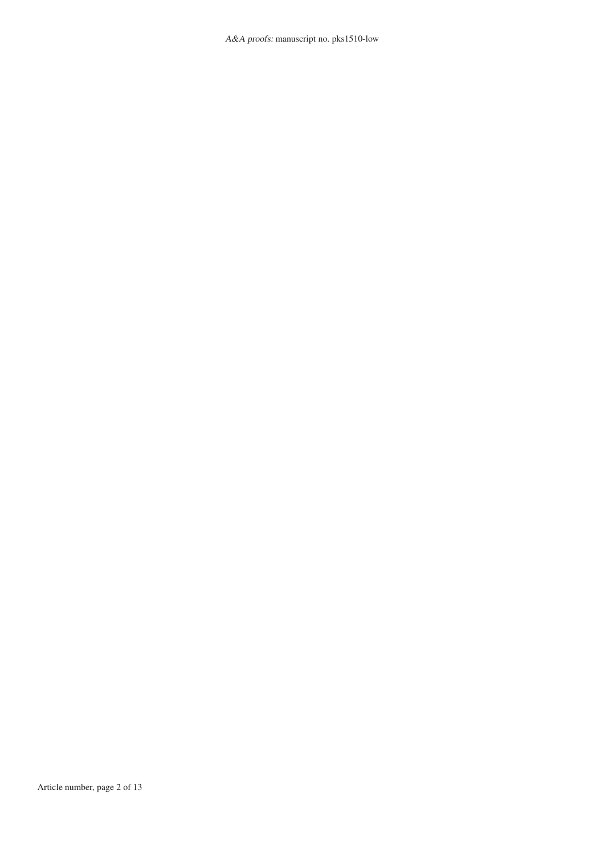<sup>A</sup>&<sup>A</sup> proofs: manuscript no. pks1510-low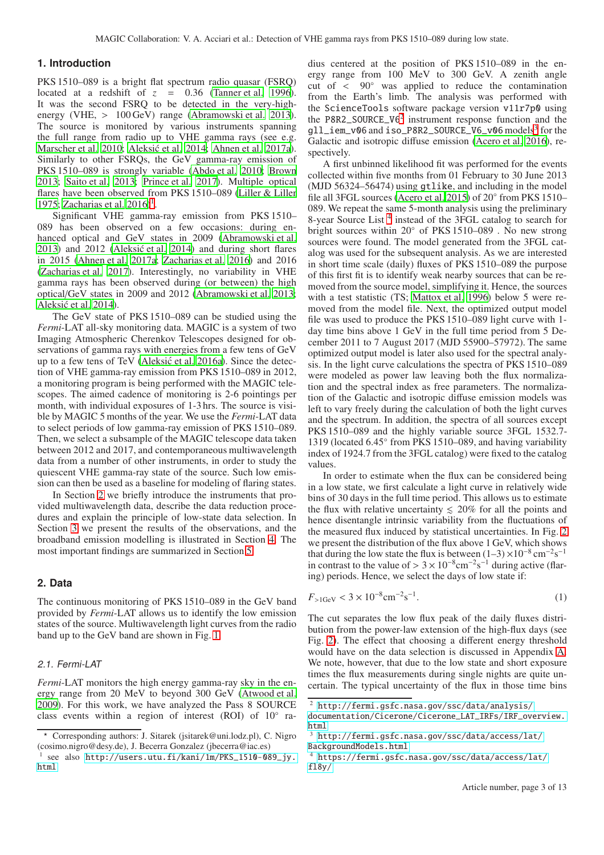# **1. Introduction**

PKS 1510–089 is a bright flat spectrum radio quasar (FSRQ) located at a redshift of  $z = 0.36$  [\(Tanner et al. 1996](#page-10-0)). It was the second FSRQ to be detected in the very-highenergy (VHE, > 100 GeV) range [\(Abramowski et al. 2013](#page-10-1)). The source is monitored by various instruments spanning the full range from radio up to VHE gamma rays (see e.g. [Marscher et al. 2010](#page-10-2); Aleksić et al. 2014; [Ahnen et al. 2017a](#page-10-4)). Similarly to other FSRQs, the GeV gamma-ray emission of PKS 1510–089 is strongly variable [\(Abdo et al. 2010;](#page-10-5) [Brown](#page-10-6) [2013;](#page-10-6) [Saito et al. 2013;](#page-10-7) [Prince et al. 2017\)](#page-10-8). Multiple optical flares have been observed from PKS 1510–089 [\(Liller & Liller](#page-10-9) [1975;](#page-10-9) Zacharias et al.  $2016$  $2016$  $2016$ <sup>1</sup>.

Significant VHE gamma-ray emission from PKS 1510– 089 has been observed on a few occasions: during enhanced optical and GeV states in 2009 [\(Abramowski et al.](#page-10-1) [2013\)](#page-10-1) and 2012 (Aleksić et al. 2014) and during short flares in 2015 [\(Ahnen et al. 2017a;](#page-10-4) [Zacharias et al. 2016\)](#page-10-10) and 2016 [\(Zacharias et al. 2017\)](#page-10-11). Interestingly, no variability in VHE gamma rays has been observed during (or between) the high optical/GeV states in 2009 and 2012 [\(Abramowski et al. 2013](#page-10-1); Aleksić et al. 2014).

The GeV state of PKS 1510–089 can be studied using the *Fermi*-LAT all-sky monitoring data. MAGIC is a system of two Imaging Atmospheric Cherenkov Telescopes designed for observations of gamma rays with energies from a few tens of GeV up to a few tens of TeV (Aleksić et al. 2016a). Since the detection of VHE gamma-ray emission from PKS 1510–089 in 2012, a monitoring program is being performed with the MAGIC telescopes. The aimed cadence of monitoring is 2-6 pointings per month, with individual exposures of 1-3 hrs. The source is visible by MAGIC 5 months of the year. We use the *Fermi*-LAT data to select periods of low gamma-ray emission of PKS 1510–089. Then, we select a subsample of the MAGIC telescope data taken between 2012 and 2017, and contemporaneous multiwavelength data from a number of other instruments, in order to study the quiescent VHE gamma-ray state of the source. Such low emission can then be used as a baseline for modeling of flaring states.

In Section [2](#page-2-1) we briefly introduce the instruments that provided multiwavelength data, describe the data reduction procedures and explain the principle of low-state data selection. In Section [3](#page-6-0) we present the results of the observations, and the broadband emission modelling is illustrated in Section [4.](#page-6-1) The most important findings are summarized in Section [5.](#page-9-0)

#### <span id="page-2-1"></span>**2. Data**

The continuous monitoring of PKS 1510–089 in the GeV band provided by *Fermi*-LAT allows us to identify the low emission states of the source. Multiwavelength light curves from the radio band up to the GeV band are shown in Fig. [1.](#page-3-0)

## <span id="page-2-6"></span>2.1. Fermi-LAT

*Fermi*-LAT monitors the high energy gamma-ray sky in the energy range from 20 MeV to beyond 300 GeV [\(Atwood et al.](#page-10-13) [2009\)](#page-10-13). For this work, we have analyzed the Pass 8 SOURCE class events within a region of interest (ROI) of 10◦ ra-

dius centered at the position of PKS 1510–089 in the energy range from 100 MeV to 300 GeV. A zenith angle cut of  $\langle 90^\circ \rangle$  was applied to reduce the contamination from the Earth's limb. The analysis was performed with the ScienceTools software package version v11r7p0 using the P8R[2](#page-2-2)\_SOURCE\_V6<sup>2</sup> instrument response function and the gll\_iem\_v06 and iso\_P8R2\_SOURCE\_V6\_v06 models<sup>[3](#page-2-3)</sup> for the Galactic and isotropic diffuse emission [\(Acero et al. 2016](#page-10-14)), respectively.

A first unbinned likelihood fit was performed for the events collected within five months from 01 February to 30 June 2013 (MJD 56324–56474) using gtlike, and including in the model file all 3FGL sources [\(Acero et al. 2015\)](#page-10-15) of 20° from PKS 1510-089. We repeat the same 5-month analysis using the preliminary 8-year Source List<sup>[4](#page-2-4)</sup> instead of the 3FGL catalog to search for bright sources within 20◦ of PKS 1510–089 . No new strong sources were found. The model generated from the 3FGL catalog was used for the subsequent analysis. As we are interested in short time scale (daily) fluxes of PKS 1510–089 the purpose of this first fit is to identify weak nearby sources that can be removed from the source model, simplifying it. Hence, the sources with a test statistic (TS; [Mattox et al. 1996\)](#page-10-16) below 5 were removed from the model file. Next, the optimized output model file was used to produce the PKS 1510–089 light curve with 1 day time bins above 1 GeV in the full time period from 5 December 2011 to 7 August 2017 (MJD 55900–57972). The same optimized output model is later also used for the spectral analysis. In the light curve calculations the spectra of PKS 1510–089 were modeled as power law leaving both the flux normalization and the spectral index as free parameters. The normalization of the Galactic and isotropic diffuse emission models was left to vary freely during the calculation of both the light curves and the spectrum. In addition, the spectra of all sources except PKS 1510–089 and the highly variable source 3FGL 1532.7- 1319 (located 6.45° from PKS 1510–089, and having variability index of 1924.7 from the 3FGL catalog) were fixed to the catalog values.

In order to estimate when the flux can be considered being in a low state, we first calculate a light curve in relatively wide bins of 30 days in the full time period. This allows us to estimate the flux with relative uncertainty  $\leq 20\%$  for all the points and hence disentangle intrinsic variability from the fluctuations of the measured flux induced by statistical uncertainties. In Fig. [2](#page-4-0) we present the distribution of the flux above 1 GeV, which shows that during the low state the flux is between  $(1-3) \times 10^{-8}$  cm<sup>-2</sup>s<sup>-1</sup> in contrast to the value of >  $3 \times 10^{-8}$ cm<sup>-2</sup>s<sup>-1</sup> during active (flaring) periods. Hence, we select the days of low state if:

<span id="page-2-5"></span>
$$
F_{>1\text{GeV}} < 3 \times 10^{-8} \text{cm}^{-2} \text{s}^{-1}.\tag{1}
$$

The cut separates the low flux peak of the daily fluxes distribution from the power-law extension of the high-flux days (see Fig. [2\)](#page-4-0). The effect that choosing a different energy threshold would have on the data selection is discussed in Appendix [A.](#page-12-0) We note, however, that due to the low state and short exposure times the flux measurements during single nights are quite uncertain. The typical uncertainty of the flux in those time bins

<sup>⋆</sup> Corresponding authors: J. Sitarek (jsitarek@uni.lodz.pl), C. Nigro (cosimo.nigro@desy.de), J. Becerra Gonzalez (jbecerra@iac.es)

<span id="page-2-0"></span><sup>&</sup>lt;sup>1</sup> see also [http://users.utu.fi/kani/1m/PKS\\_1510-089\\_jy.](http://users.utu.fi/kani/1m/PKS_1510-089_jy.html) [html](http://users.utu.fi/kani/1m/PKS_1510-089_jy.html)

<sup>2</sup> [http://fermi.gsfc.nasa.gov/ssc/data/analysis/](http://fermi.gsfc.nasa.gov/ssc/data/analysis/documentation/Cicerone/Cicerone_LAT_IRFs/IRF_overview.html)

<span id="page-2-2"></span>[documentation/Cicerone/Cicerone\\_LAT\\_IRFs/IRF\\_overview.](http://fermi.gsfc.nasa.gov/ssc/data/analysis/documentation/Cicerone/Cicerone_LAT_IRFs/IRF_overview.html) [html](http://fermi.gsfc.nasa.gov/ssc/data/analysis/documentation/Cicerone/Cicerone_LAT_IRFs/IRF_overview.html)

<span id="page-2-3"></span><sup>3</sup> [http://fermi.gsfc.nasa.gov/ssc/data/access/lat/](http://fermi.gsfc.nasa.gov/ssc/data/access/lat/BackgroundModels.html) [BackgroundModels.html](http://fermi.gsfc.nasa.gov/ssc/data/access/lat/BackgroundModels.html)

<span id="page-2-4"></span><sup>4</sup> [https://fermi.gsfc.nasa.gov/ssc/data/access/lat/](https://fermi.gsfc.nasa.gov/ssc/data/access/lat/fl8y/) [fl8y/](https://fermi.gsfc.nasa.gov/ssc/data/access/lat/fl8y/)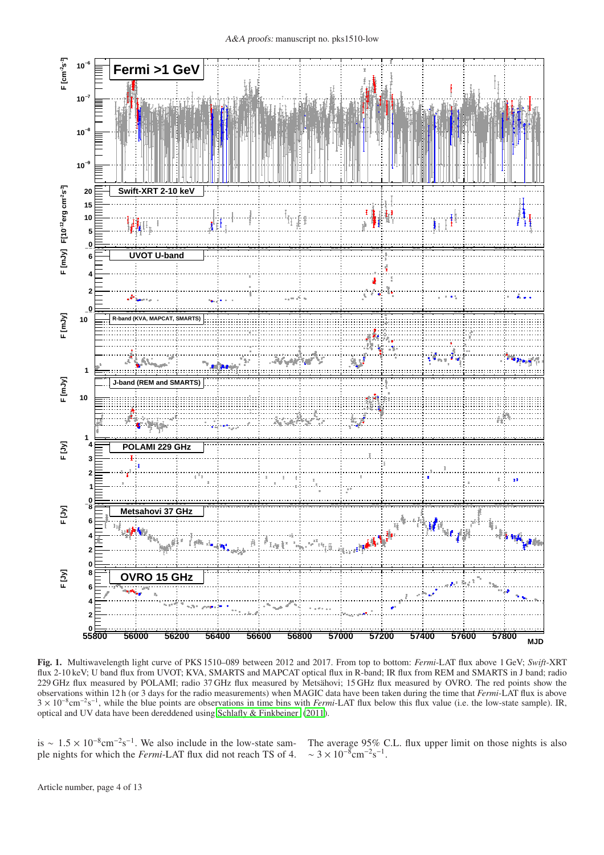

<span id="page-3-0"></span>Fig. 1. Multiwavelength light curve of PKS 1510–089 between 2012 and 2017. From top to bottom: *Fermi*-LAT flux above 1 GeV; *Swift*-XRT flux 2-10 keV; U band flux from UVOT; KVA, SMARTS and MAPCAT optical flux in R-band; IR flux from REM and SMARTS in J band; radio 229 GHz flux measured by POLAMI; radio 37 GHz flux measured by Metsähovi; 15 GHz flux measured by OVRO. The red points show the observations within 12 h (or 3 days for the radio measurements) when MAGIC data have been taken during the time that *Fermi*-LAT flux is above 3 × 10<sup>-8</sup>cm<sup>-2</sup>s<sup>-1</sup>, while the blue points are observations in time bins with *Fermi*-LAT flux below this flux value (i.e. the low-state sample). IR, optical and UV data have been dereddened using [Schlafly & Finkbeiner](#page-10-17) [\(2011](#page-10-17)).

is ~  $1.5 \times 10^{-8}$ cm<sup>-2</sup>s<sup>-1</sup>. We also include in the low-state sample nights for which the *Fermi*-LAT flux did not reach TS of 4. The average 95% C.L. flux upper limit on those nights is also  $\sim 3 \times 10^{-8} \text{cm}^{-2} \text{s}^{-1}$ .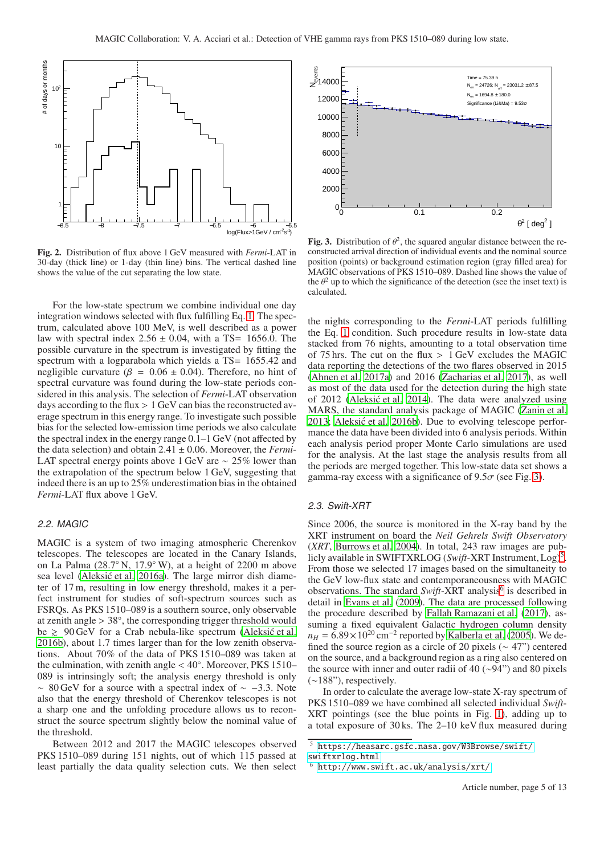

<span id="page-4-0"></span>Fig. 2. Distribution of flux above 1 GeV measured with *Fermi*-LAT in 30-day (thick line) or 1-day (thin line) bins. The vertical dashed line shows the value of the cut separating the low state.

For the low-state spectrum we combine individual one day integration windows selected with flux fulfilling Eq. [1.](#page-2-5) The spectrum, calculated above 100 MeV, is well described as a power law with spectral index  $2.56 \pm 0.04$ , with a TS= 1656.0. The possible curvature in the spectrum is investigated by fitting the spectrum with a logparabola which yields a TS= 1655.42 and negligible curvature ( $\beta = 0.06 \pm 0.04$ ). Therefore, no hint of spectral curvature was found during the low-state periods considered in this analysis. The selection of *Fermi*-LAT observation days according to the flux > 1 GeV can bias the reconstructed average spectrum in this energy range. To investigate such possible bias for the selected low-emission time periods we also calculate the spectral index in the energy range 0.1–1 GeV (not affected by the data selection) and obtain 2.41 ± 0.06. Moreover, the *Fermi*-LAT spectral energy points above 1 GeV are  $\sim$  25% lower than the extrapolation of the spectrum below 1 GeV, suggesting that indeed there is an up to 25% underestimation bias in the obtained *Fermi*-LAT flux above 1 GeV.

# 2.2. MAGIC

MAGIC is a system of two imaging atmospheric Cherenkov telescopes. The telescopes are located in the Canary Islands, on La Palma (28.7° N, 17.9° W), at a height of 2200 m above sea level (Aleksić et al. 2016a). The large mirror dish diameter of 17 m, resulting in low energy threshold, makes it a perfect instrument for studies of soft-spectrum sources such as FSRQs. As PKS 1510–089 is a southern source, only observable at zenith angle > 38◦ , the corresponding trigger threshold would be  $\geq 90 \,\text{GeV}$  for a Crab nebula-like spectrum (Aleksić et al. [2016b\)](#page-10-18), about 1.7 times larger than for the low zenith observations. About 70% of the data of PKS 1510–089 was taken at the culmination, with zenith angle < 40◦ . Moreover, PKS 1510– 089 is intrinsingly soft; the analysis energy threshold is only ∼ 80 GeV for a source with a spectral index of ∼ −3.3. Note also that the energy threshold of Cherenkov telescopes is not a sharp one and the unfolding procedure allows us to reconstruct the source spectrum slightly below the nominal value of the threshold.

Between 2012 and 2017 the MAGIC telescopes observed PKS 1510–089 during 151 nights, out of which 115 passed at least partially the data quality selection cuts. We then select



<span id="page-4-1"></span>Fig. 3. Distribution of  $\theta^2$ , the squared angular distance between the reconstructed arrival direction of individual events and the nominal source position (points) or background estimation region (gray filled area) for MAGIC observations of PKS 1510–089. Dashed line shows the value of the  $\theta^2$  up to which the significance of the detection (see the inset text) is calculated.

the nights corresponding to the *Fermi*-LAT periods fulfilling the Eq. [1](#page-2-5) condition. Such procedure results in low-state data stacked from 76 nights, amounting to a total observation time of 75 hrs. The cut on the flux  $> 1$  GeV excludes the MAGIC data reporting the detections of the two flares observed in 2015 [\(Ahnen et al. 2017a](#page-10-4)) and 2016 [\(Zacharias et al. 2017\)](#page-10-11), as well as most of the data used for the detection during the high state of 2012 (Aleksić et al. 2014). The data were analyzed using MARS, the standard analysis package of MAGIC [\(Zanin et al.](#page-10-19) [2013;](#page-10-19) Aleksić et al. 2016b). Due to evolving telescope performance the data have been divided into 6 analysis periods. Within each analysis period proper Monte Carlo simulations are used for the analysis. At the last stage the analysis results from all the periods are merged together. This low-state data set shows a gamma-ray excess with a significance of  $9.5\sigma$  (see Fig. [3\)](#page-4-1).

#### 2.3. Swift-XRT

Since 2006, the source is monitored in the X-ray band by the XRT instrument on board the *Neil Gehrels Swift Observatory* (*XRT*, [Burrows et al. 2004](#page-10-20)). In total, 243 raw images are pub-licly available in SWIFTXRLOG (Swift-XRT Instrument, Log)<sup>[5](#page-4-2)</sup>. From those we selected 17 images based on the simultaneity to the GeV low-flux state and contemporaneousness with MAGIC observations. The standard *Swift*-XRT analysis<sup>[6](#page-4-3)</sup> is described in detail in [Evans et al. \(2009\)](#page-10-21). The data are processed following the procedure described by [Fallah Ramazani et al.](#page-10-22) [\(2017\)](#page-10-22), assuming a fixed equivalent Galactic hydrogen column density  $n_H = 6.89 \times 10^{20} \text{ cm}^{-2}$  reported by [Kalberla et al.](#page-10-23) [\(2005\)](#page-10-23). We defined the source region as a circle of 20 pixels (∼ 47") centered on the source, and a background region as a ring also centered on the source with inner and outer radii of 40 (∼94") and 80 pixels (∼188"), respectively.

In order to calculate the average low-state X-ray spectrum of PKS 1510–089 we have combined all selected individual *Swift*-XRT pointings (see the blue points in Fig. [1\)](#page-3-0), adding up to a total exposure of 30 ks. The 2–10 keV flux measured during

<sup>5</sup> [https://heasarc.gsfc.nasa.gov/W3Browse/swift/](https://heasarc.gsfc.nasa.gov/W3Browse/swift/swiftxrlog.html)

<span id="page-4-2"></span>[swiftxrlog.html](https://heasarc.gsfc.nasa.gov/W3Browse/swift/swiftxrlog.html)

<span id="page-4-3"></span><sup>6</sup> <http://www.swift.ac.uk/analysis/xrt/>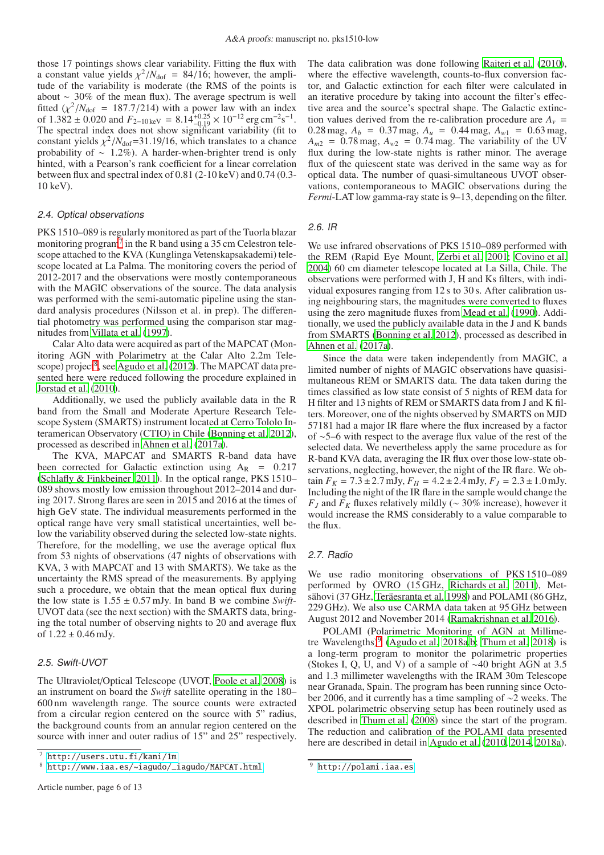those 17 pointings shows clear variability. Fitting the flux with a constant value yields  $\chi^2/N_{\text{dof}} = 84/16$ ; however, the amplitude of the variability is moderate (the RMS of the points is about ∼ 30% of the mean flux). The average spectrum is well fitted  $(\chi^2/N_{\text{dof}} = 187.7/214)$  with a power law with an index of  $1.382 \pm 0.020$  and  $F_{2-10 \text{ keV}} = 8.14_{-0.19}^{+0.25} \times 10^{-12} \text{ erg cm}^{-2} \text{s}^{-1}$ . The spectral index does not show significant variability (fit to constant yields  $\chi^2/N_{\text{dof}}$ =31.19/16, which translates to a chance probability of  $\sim 1.2\%$ ). A harder-when-brighter trend is only hinted, with a Pearson's rank coefficient for a linear correlation between flux and spectral index of 0.81 (2-10 keV) and 0.74 (0.3- 10 keV).

#### 2.4. Optical observations

PKS 1510–089 is regularly monitored as part of the Tuorla blazar monitoring program<sup>[7](#page-5-0)</sup> in the R band using a 35 cm Celestron telescope attached to the KVA (Kunglinga Vetenskapsakademi) telescope located at La Palma. The monitoring covers the period of 2012-2017 and the observations were mostly contemporaneous with the MAGIC observations of the source. The data analysis was performed with the semi-automatic pipeline using the standard analysis procedures (Nilsson et al. in prep). The differential photometry was performed using the comparison star magnitudes from [Villata et al. \(1997](#page-10-24)).

Calar Alto data were acquired as part of the MAPCAT (Monitoring AGN with Polarimetry at the Calar Alto 2.2m Tele-scope) project<sup>[8](#page-5-1)</sup>, see [Agudo et al. \(2012\)](#page-10-25). The MAPCAT data presented here were reduced following the procedure explained in [Jorstad et al.](#page-10-26) [\(2010\)](#page-10-26).

Additionally, we used the publicly available data in the R band from the Small and Moderate Aperture Research Telescope System (SMARTS) instrument located at Cerro Tololo Interamerican Observatory (CTIO) in Chile [\(Bonning et al. 2012](#page-10-27)), processed as described in [Ahnen et al.](#page-10-4) [\(2017a\)](#page-10-4).

The KVA, MAPCAT and SMARTS R-band data have been corrected for Galactic extinction using  $A_R = 0.217$ [\(Schlafly & Finkbeiner 2011](#page-10-17)). In the optical range, PKS 1510– 089 shows mostly low emission throughout 2012–2014 and during 2017. Strong flares are seen in 2015 and 2016 at the times of high GeV state. The individual measurements performed in the optical range have very small statistical uncertainties, well below the variability observed during the selected low-state nights. Therefore, for the modelling, we use the average optical flux from 53 nights of observations (47 nights of observations with KVA, 3 with MAPCAT and 13 with SMARTS). We take as the uncertainty the RMS spread of the measurements. By applying such a procedure, we obtain that the mean optical flux during the low state is  $1.55 \pm 0.57$  mJy. In band B we combine *Swift*-UVOT data (see the next section) with the SMARTS data, bringing the total number of observing nights to 20 and average flux of  $1.22 \pm 0.46$  mJy.

# 2.5. Swift-UVOT

The Ultraviolet/Optical Telescope (UVOT, [Poole et al. 2008\)](#page-10-28) is an instrument on board the *Swift* satellite operating in the 180– 600 nm wavelength range. The source counts were extracted from a circular region centered on the source with 5" radius, the background counts from an annular region centered on the source with inner and outer radius of 15" and 25" respectively. The data calibration was done following [Raiteri et al.](#page-10-29) [\(2010\)](#page-10-29), where the effective wavelength, counts-to-flux conversion factor, and Galactic extinction for each filter were calculated in an iterative procedure by taking into account the filter's effective area and the source's spectral shape. The Galactic extinction values derived from the re-calibration procedure are  $A_v$  = 0.28 mag,  $A_b = 0.37$  mag,  $A_u = 0.44$  mag,  $A_{w1} = 0.63$  mag,  $A_{m2}$  = 0.78 mag,  $A_{w2}$  = 0.74 mag. The variability of the UV flux during the low-state nights is rather minor. The average flux of the quiescent state was derived in the same way as for optical data. The number of quasi-simultaneous UVOT observations, contemporaneous to MAGIC observations during the *Fermi*-LAT low gamma-ray state is 9–13, depending on the filter.

#### 2.6. IR

We use infrared observations of PKS 1510–089 performed with the REM (Rapid Eye Mount, [Zerbi et al. 2001;](#page-10-30) [Covino et al.](#page-10-31) [2004\)](#page-10-31) 60 cm diameter telescope located at La Silla, Chile. The observations were performed with J, H and Ks filters, with individual exposures ranging from 12 s to 30 s. After calibration using neighbouring stars, the magnitudes were converted to fluxes using the zero magnitude fluxes from [Mead et al.](#page-10-32) [\(1990\)](#page-10-32). Additionally, we used the publicly available data in the J and K bands from SMARTS [\(Bonning et al. 2012\)](#page-10-27), processed as described in [Ahnen et al.](#page-10-4) [\(2017a\)](#page-10-4).

Since the data were taken independently from MAGIC, a limited number of nights of MAGIC observations have quasisimultaneous REM or SMARTS data. The data taken during the times classified as low state consist of 5 nights of REM data for H filter and 13 nights of REM or SMARTS data from J and K filters. Moreover, one of the nights observed by SMARTS on MJD 57181 had a major IR flare where the flux increased by a factor of ∼5–6 with respect to the average flux value of the rest of the selected data. We nevertheless apply the same procedure as for R-band KVA data, averaging the IR flux over those low-state observations, neglecting, however, the night of the IR flare. We ob- $\tan F_K = 7.3 \pm 2.7 \text{ mJy}, F_H = 4.2 \pm 2.4 \text{ mJy}, F_J = 2.3 \pm 1.0 \text{ mJy}.$ Including the night of the IR flare in the sample would change the *F*<sub>*J*</sub> and  $F_K$  fluxes relatively mildly ( $\sim$  30% increase), however it would increase the RMS considerably to a value comparable to the flux.

#### 2.7. Radio

We use radio monitoring observations of PKS 1510–089 performed by OVRO (15 GHz, [Richards et al. 2011\)](#page-10-33), Metsähovi (37 GHz, [Teräesranta et al. 1998\)](#page-10-34) and POLAMI (86 GHz, 229 GHz). We also use CARMA data taken at 95 GHz between August 2012 and November 2014 [\(Ramakrishnan et al. 2016\)](#page-10-35).

POLAMI (Polarimetric Monitoring of AGN at Millime-tre Wavelengths)<sup>[9](#page-5-2)</sup> [\(Agudo et al. 2018a](#page-10-36)[,b](#page-10-37); [Thum et al. 2018\)](#page-10-38) is a long-term program to monitor the polarimetric properties (Stokes I, Q, U, and V) of a sample of ∼40 bright AGN at 3.5 and 1.3 millimeter wavelengths with the IRAM 30m Telescope near Granada, Spain. The program has been running since October 2006, and it currently has a time sampling of ∼2 weeks. The XPOL polarimetric observing setup has been routinely used as described in [Thum et al. \(2008\)](#page-10-39) since the start of the program. The reduction and calibration of the POLAMI data presented here are described in detail in [Agudo et al. \(2010](#page-10-40), [2014,](#page-10-41) [2018a\)](#page-10-36).

<http://users.utu.fi/kani/1m>

<span id="page-5-1"></span><span id="page-5-0"></span><sup>8</sup> [http://www.iaa.es/~iagudo/\\_iagudo/MAPCAT.html](http://www.iaa.es/~iagudo/_iagudo/MAPCAT.html)

<span id="page-5-2"></span><sup>9</sup> <http://polami.iaa.es>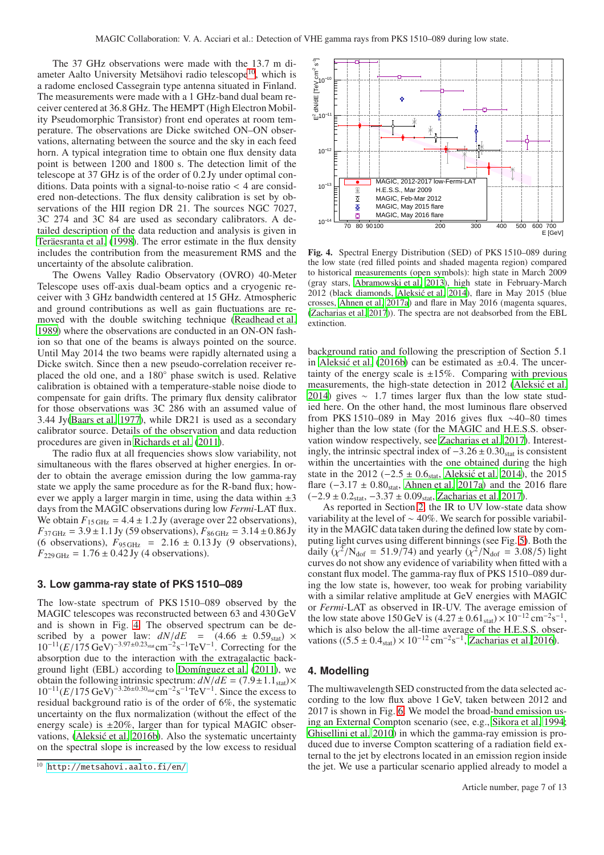The 37 GHz observations were made with the 13.7 m di-ameter Aalto University Metsähovi radio telescope<sup>[10](#page-6-2)</sup>, which is a radome enclosed Cassegrain type antenna situated in Finland. The measurements were made with a 1 GHz-band dual beam receiver centered at 36.8 GHz. The HEMPT (High Electron Mobility Pseudomorphic Transistor) front end operates at room temperature. The observations are Dicke switched ON–ON observations, alternating between the source and the sky in each feed horn. A typical integration time to obtain one flux density data point is between 1200 and 1800 s. The detection limit of the telescope at 37 GHz is of the order of 0.2 Jy under optimal conditions. Data points with a signal-to-noise ratio < 4 are considered non-detections. The flux density calibration is set by observations of the HII region DR 21. The sources NGC 7027, 3C 274 and 3C 84 are used as secondary calibrators. A detailed description of the data reduction and analysis is given in [Teräesranta et al. \(1998](#page-10-34)). The error estimate in the flux density includes the contribution from the measurement RMS and the uncertainty of the absolute calibration.

The Owens Valley Radio Observatory (OVRO) 40-Meter Telescope uses off-axis dual-beam optics and a cryogenic receiver with 3 GHz bandwidth centered at 15 GHz. Atmospheric and ground contributions as well as gain fluctuations are removed with the double switching technique [\(Readhead et al.](#page-10-42) [1989\)](#page-10-42) where the observations are conducted in an ON-ON fashion so that one of the beams is always pointed on the source. Until May 2014 the two beams were rapidly alternated using a Dicke switch. Since then a new pseudo-correlation receiver replaced the old one, and a 180◦ phase switch is used. Relative calibration is obtained with a temperature-stable noise diode to compensate for gain drifts. The primary flux density calibrator for those observations was 3C 286 with an assumed value of 3.44 Jy[\(Baars et al. 1977\)](#page-10-43), while DR21 is used as a secondary calibrator source. Details of the observation and data reduction procedures are given in [Richards et al. \(2011](#page-10-33)).

The radio flux at all frequencies shows slow variability, not simultaneous with the flares observed at higher energies. In order to obtain the average emission during the low gamma-ray state we apply the same procedure as for the R-band flux; however we apply a larger margin in time, using the data within  $\pm 3$ days from the MAGIC observations during low *Fermi*-LAT flux. We obtain  $F_{15 \text{ GHz}} = 4.4 \pm 1.2 \text{ Jy}$  (average over 22 observations),  $F_{37 \text{ GHz}} = 3.9 \pm 1.1 \text{ Jy}$  (59 observations),  $F_{86 \text{ GHz}} = 3.14 \pm 0.86 \text{ Jy}$ (6 observations),  $F_{95 \text{ GHz}}$  = 2.16  $\pm$  0.13 Jy (9 observations),  $F_{229 \text{ GHz}} = 1.76 \pm 0.42 \text{ Jy}$  (4 observations).

# <span id="page-6-0"></span>**3. Low gamma-ray state of PKS 1510–089**

The low-state spectrum of PKS 1510–089 observed by the MAGIC telescopes was reconstructed between 63 and 430 GeV and is shown in Fig. [4.](#page-6-3) The observed spectrum can be described by a power law:  $dN/dE = (4.66 \pm 0.59<sub>stat</sub>) \times$  $10^{-11} (E/175 \text{ GeV})^{-3.97 \pm 0.23}$ stat cm<sup>-2</sup>s<sup>-1</sup>TeV<sup>-1</sup>. Correcting for the absorption due to the interaction with the extragalactic background light (EBL) according to [Domínguez et al.](#page-10-44) [\(2011\)](#page-10-44), we obtain the following intrinsic spectrum:  $dN/dE = (7.9 \pm 1.1<sub>stat</sub>) \times$  $10^{-11} (E/175 \,\text{GeV})^{-3.26 \pm 0.30_{\text{stat}}} \text{cm}^{-2} \text{s}^{-1} \text{TeV}^{-1}$ . Since the excess to residual background ratio is of the order of 6%, the systematic uncertainty on the flux normalization (without the effect of the energy scale) is  $\pm 20\%$ , larger than for typical MAGIC observations, (Aleksić et al. 2016b). Also the systematic uncertainty on the spectral slope is increased by the low excess to residual



<span id="page-6-3"></span>Fig. 4. Spectral Energy Distribution (SED) of PKS 1510–089 during the low state (red filled points and shaded magenta region) compared to historical measurements (open symbols): high state in March 2009 (gray stars, [Abramowski et al. 2013\)](#page-10-1), high state in February-March 2012 (black diamonds, [Aleksic et al. 2014\)](#page-10-3), flare in May 2015 (blue ´ crosses, [Ahnen et al. 2017a](#page-10-4)) and flare in May 2016 (magenta squares, [\(Zacharias et al. 2017](#page-10-11))). The spectra are not deabsorbed from the EBL extinction.

background ratio and following the prescription of Section 5.1 in [Aleksic et al.](#page-10-18) [\(2016b\)](#page-10-18) can be estimated as  $\pm 0.4$ . The uncertainty of the energy scale is  $\pm 15\%$ . Comparing with previous measurements, the high-state detection in 2012 (Aleksić et al. [2014\)](#page-10-3) gives  $\sim$  1.7 times larger flux than the low state studied here. On the other hand, the most luminous flare observed from PKS 1510–089 in May 2016 gives flux ∼40–80 times higher than the low state (for the MAGIC and H.E.S.S. observation window respectively, see [Zacharias et al. 2017\)](#page-10-11). Interestingly, the intrinsic spectral index of  $-3.26 \pm 0.30_{stat}$  is consistent within the uncertainties with the one obtained during the high state in the 2012 ( $-2.5 \pm 0.6$ <sub>stat</sub>, Aleksić et al. 2014), the 2015 flare  $(-3.17 \pm 0.80)$ <sub>stat</sub>, [Ahnen et al. 2017a\)](#page-10-4) and the 2016 flare  $(-2.9 \pm 0.2<sub>stat</sub>, -3.37 \pm 0.09<sub>stat</sub>,$  [Zacharias et al. 2017\)](#page-10-11).

As reported in Section [2,](#page-2-1) the IR to UV low-state data show variability at the level of ∼ 40%. We search for possible variability in the MAGIC data taken during the defined low state by computing light curves using different binnings (see Fig. [5\)](#page-7-0). Both the daily  $(\chi^2/N_{\text{dof}} = 51.9/74)$  and yearly  $(\chi^2/N_{\text{dof}} = 3.08/5)$  light curves do not show any evidence of variability when fitted with a constant flux model. The gamma-ray flux of PKS 1510–089 during the low state is, however, too weak for probing variability with a similar relative amplitude at GeV energies with MAGIC or *Fermi*-LAT as observed in IR-UV. The average emission of the low state above 150 GeV is  $(4.27 \pm 0.61_{stat}) \times 10^{-12}$  cm<sup>-2</sup>s<sup>-1</sup>, which is also below the all-time average of the H.E.S.S. obser-vations ((5.5 ± 0.4<sub>stat</sub>) × 10<sup>-12</sup> cm<sup>-2</sup>s<sup>-1</sup>, [Zacharias et al. 2016\)](#page-10-10).

# <span id="page-6-1"></span>**4. Modelling**

The multiwavelength SED constructed from the data selected according to the low flux above 1 GeV, taken between 2012 and 2017 is shown in Fig. [6.](#page-7-1) We model the broad-band emission using an External Compton scenario (see, e.g., [Sikora et al. 1994;](#page-10-45) [Ghisellini et al. 2010](#page-10-46)) in which the gamma-ray emission is produced due to inverse Compton scattering of a radiation field external to the jet by electrons located in an emission region inside the jet. We use a particular scenario applied already to model a

<span id="page-6-2"></span><sup>10</sup> <http://metsahovi.aalto.fi/en/>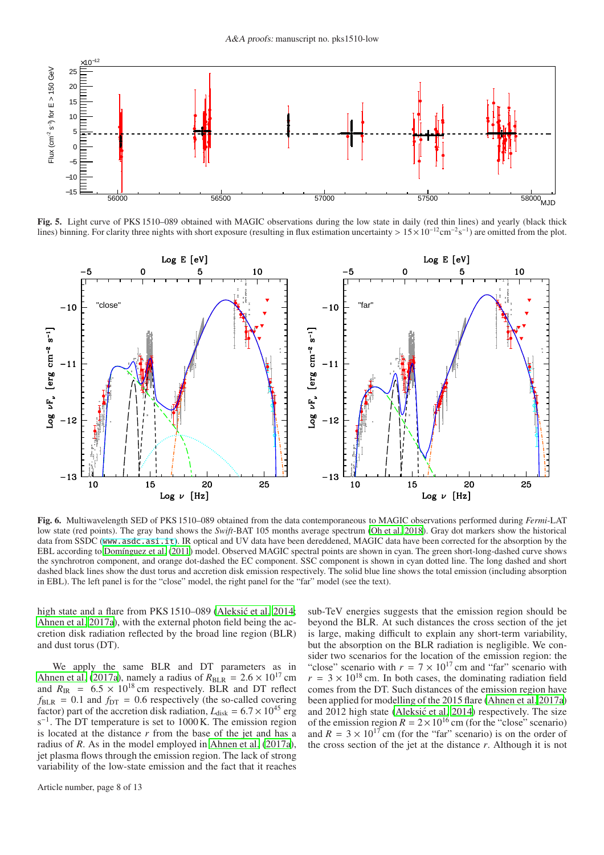

<span id="page-7-0"></span>Fig. 5. Light curve of PKS 1510–089 obtained with MAGIC observations during the low state in daily (red thin lines) and yearly (black thick lines) binning. For clarity three nights with short exposure (resulting in flux estimation uncertainty >  $15 \times 10^{-12}$ cm<sup>-2</sup>s<sup>-1</sup>) are omitted from the plot.



<span id="page-7-1"></span>Fig. 6. Multiwavelength SED of PKS 1510–089 obtained from the data contemporaneous to MAGIC observations performed during *Fermi*-LAT low state (red points). The gray band shows the *Swift*-BAT 105 months average spectrum [\(Oh et al. 2018](#page-10-47)). Gray dot markers show the historical data from SSDC (<www.asdc.asi.it>). IR optical and UV data have been dereddened, MAGIC data have been corrected for the absorption by the EBL according to [Domínguez et al. \(2011\)](#page-10-44) model. Observed MAGIC spectral points are shown in cyan. The green short-long-dashed curve shows the synchrotron component, and orange dot-dashed the EC component. SSC component is shown in cyan dotted line. The long dashed and short dashed black lines show the dust torus and accretion disk emission respectively. The solid blue line shows the total emission (including absorption in EBL). The left panel is for the "close" model, the right panel for the "far" model (see the text).

high state and a flare from PKS 1510–089 (Aleksić et al. 2014; [Ahnen et al. 2017a](#page-10-4)), with the external photon field being the accretion disk radiation reflected by the broad line region (BLR) and dust torus (DT).

We apply the same BLR and DT parameters as in [Ahnen et al.](#page-10-4) [\(2017a\)](#page-10-4), namely a radius of  $R_{\text{BLR}} = 2.6 \times 10^{17}$  cm and  $R_{\text{IR}}$  = 6.5 × 10<sup>18</sup> cm respectively. BLR and DT reflect  $f_{BLR}$  = 0.1 and  $f_{DT}$  = 0.6 respectively (the so-called covering factor) part of the accretion disk radiation,  $L_{disk} = 6.7 \times 10^{45}$  erg s<sup>-1</sup>. The DT temperature is set to 1000 K. The emission region is located at the distance *r* from the base of the jet and has a radius of *R*. As in the model employed in [Ahnen et al.](#page-10-4) [\(2017a](#page-10-4)), jet plasma flows through the emission region. The lack of strong variability of the low-state emission and the fact that it reaches

sub-TeV energies suggests that the emission region should be beyond the BLR. At such distances the cross section of the jet is large, making difficult to explain any short-term variability, but the absorption on the BLR radiation is negligible. We consider two scenarios for the location of the emission region: the "close" scenario with  $r = 7 \times 10^{17}$  cm and "far" scenario with  $r = 3 \times 10^{18}$  cm. In both cases, the dominating radiation field comes from the DT. Such distances of the emission region have been applied for modelling of the 2015 flare [\(Ahnen et al. 2017a](#page-10-4)) and 2012 high state (Aleksić et al. 2014) respectively. The size of the emission region  $R = 2 \times 10^{16}$  cm (for the "close" scenario) and  $R = 3 \times 10^{17}$  cm (for the "far" scenario) is on the order of the cross section of the jet at the distance *r*. Although it is not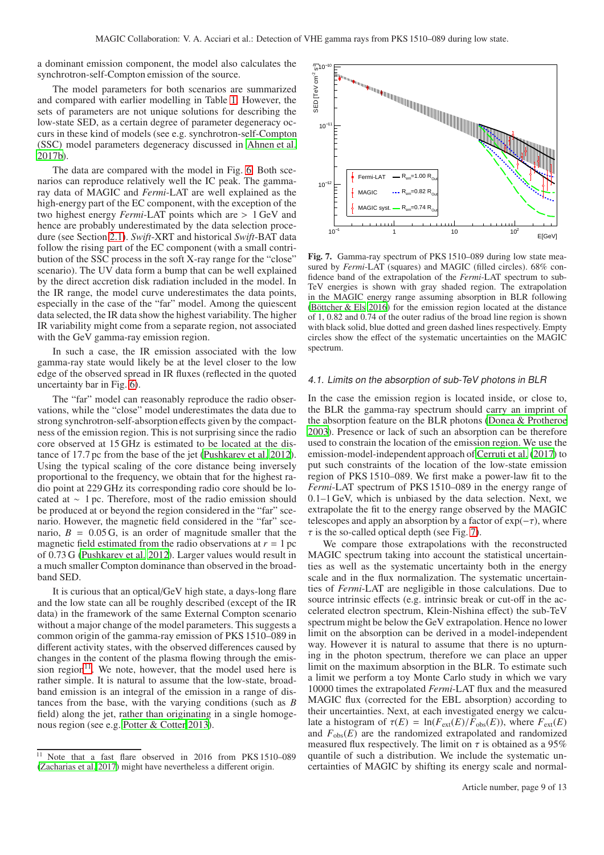a dominant emission component, the model also calculates the synchrotron-self-Compton emission of the source.

The model parameters for both scenarios are summarized and compared with earlier modelling in Table [1.](#page-9-1) However, the sets of parameters are not unique solutions for describing the low-state SED, as a certain degree of parameter degeneracy occurs in these kind of models (see e.g. synchrotron-self-Compton (SSC) model parameters degeneracy discussed in [Ahnen et al.](#page-10-48) [2017b\)](#page-10-48).

The data are compared with the model in Fig. [6.](#page-7-1) Both scenarios can reproduce relatively well the IC peak. The gammaray data of MAGIC and *Fermi*-LAT are well explained as the high-energy part of the EC component, with the exception of the two highest energy *Fermi*-LAT points which are > 1 GeV and hence are probably underestimated by the data selection procedure (see Section [2.1\)](#page-2-6). *Swift*-XRT and historical *Swift*-BAT data follow the rising part of the EC component (with a small contribution of the SSC process in the soft X-ray range for the "close" scenario). The UV data form a bump that can be well explained by the direct accretion disk radiation included in the model. In the IR range, the model curve underestimates the data points, especially in the case of the "far" model. Among the quiescent data selected, the IR data show the highest variability. The higher IR variability might come from a separate region, not associated with the GeV gamma-ray emission region.

In such a case, the IR emission associated with the low gamma-ray state would likely be at the level closer to the low edge of the observed spread in IR fluxes (reflected in the quoted uncertainty bar in Fig. [6\)](#page-7-1).

The "far" model can reasonably reproduce the radio observations, while the "close" model underestimates the data due to strong synchrotron-self-absorption effects given by the compactness of the emission region. This is not surprising since the radio core observed at 15 GHz is estimated to be located at the distance of 17.7 pc from the base of the jet [\(Pushkarev et al. 2012](#page-10-49)). Using the typical scaling of the core distance being inversely proportional to the frequency, we obtain that for the highest radio point at 229 GHz its corresponding radio core should be located at ∼ 1 pc. Therefore, most of the radio emission should be produced at or beyond the region considered in the "far" scenario. However, the magnetic field considered in the "far" scenario,  $B = 0.05$  G, is an order of magnitude smaller that the magnetic field estimated from the radio observations at  $r = 1$  pc of 0.73 G [\(Pushkarev et al. 2012](#page-10-49)). Larger values would result in a much smaller Compton dominance than observed in the broadband SED.

It is curious that an optical/GeV high state, a days-long flare and the low state can all be roughly described (except of the IR data) in the framework of the same External Compton scenario without a major change of the model parameters. This suggests a common origin of the gamma-ray emission of PKS 1510–089 in different activity states, with the observed differences caused by changes in the content of the plasma flowing through the emis-sion region<sup>[11](#page-8-0)</sup>. We note, however, that the model used here is rather simple. It is natural to assume that the low-state, broadband emission is an integral of the emission in a range of distances from the base, with the varying conditions (such as *B* field) along the jet, rather than originating in a single homogenous region (see e.g. [Potter & Cotter 2013](#page-10-50)).



<span id="page-8-1"></span>Fig. 7. Gamma-ray spectrum of PKS 1510–089 during low state measured by *Fermi*-LAT (squares) and MAGIC (filled circles). 68% confidence band of the extrapolation of the *Fermi*-LAT spectrum to sub-TeV energies is shown with gray shaded region. The extrapolation in the MAGIC energy range assuming absorption in BLR following [\(Böttcher & Els 2016](#page-10-51)) for the emission region located at the distance of 1, 0.82 and 0.74 of the outer radius of the broad line region is shown with black solid, blue dotted and green dashed lines respectively. Empty circles show the effect of the systematic uncertainties on the MAGIC spectrum.

#### 4.1. Limits on the absorption of sub-TeV photons in BLR

In the case the emission region is located inside, or close to, the BLR the gamma-ray spectrum should carry an imprint of the absorption feature on the BLR photons [\(Donea & Protheroe](#page-10-52) [2003\)](#page-10-52). Presence or lack of such an absorption can be therefore used to constrain the location of the emission region. We use the emission-model-independent approach of [Cerruti et al. \(2017\)](#page-10-53) to put such constraints of the location of the low-state emission region of PKS 1510–089. We first make a power-law fit to the *Fermi*-LAT spectrum of PKS 1510–089 in the energy range of 0.1–1 GeV, which is unbiased by the data selection. Next, we extrapolate the fit to the energy range observed by the MAGIC telescopes and apply an absorption by a factor of  $exp(-\tau)$ , where  $\tau$  is the so-called optical depth (see Fig. [7\)](#page-8-1).

We compare those extrapolations with the reconstructed MAGIC spectrum taking into account the statistical uncertainties as well as the systematic uncertainty both in the energy scale and in the flux normalization. The systematic uncertainties of *Fermi*-LAT are negligible in those calculations. Due to source intrinsic effects (e.g. intrinsic break or cut-off in the accelerated electron spectrum, Klein-Nishina effect) the sub-TeV spectrum might be below the GeV extrapolation. Hence no lower limit on the absorption can be derived in a model-independent way. However it is natural to assume that there is no upturning in the photon spectrum, therefore we can place an upper limit on the maximum absorption in the BLR. To estimate such a limit we perform a toy Monte Carlo study in which we vary 10000 times the extrapolated *Fermi*-LAT flux and the measured MAGIC flux (corrected for the EBL absorption) according to their uncertainties. Next, at each investigated energy we calculate a histogram of  $\tau(E) = \ln(F_{ext}(E)/F_{obs}(E))$ , where  $F_{ext}(E)$ and  $F_{obs}(E)$  are the randomized extrapolated and randomized measured flux respectively. The limit on  $\tau$  is obtained as a 95% quantile of such a distribution. We include the systematic uncertainties of MAGIC by shifting its energy scale and normal-

<span id="page-8-0"></span><sup>&</sup>lt;sup>11</sup> Note that a fast flare observed in 2016 from PKS 1510-089 [\(Zacharias et al. 2017](#page-10-11)) might have nevertheless a different origin.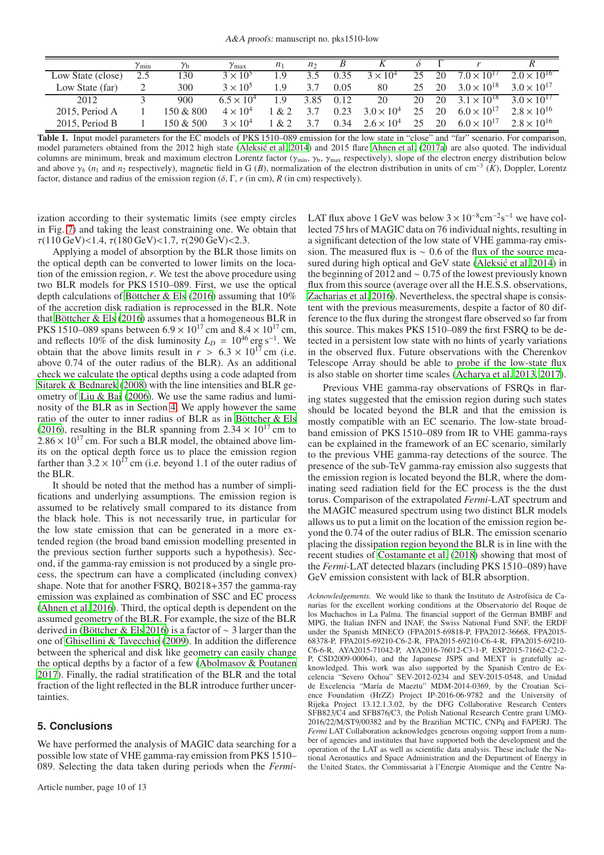|                   | $\gamma_{\rm min}$ | $\gamma_{\rm b}$ | $\gamma_{\rm max}$  | n <sub>1</sub> | $n_{2}$ |      |                     |    |    |                      |                      |
|-------------------|--------------------|------------------|---------------------|----------------|---------|------|---------------------|----|----|----------------------|----------------------|
| Low State (close) | 2.5                | 130              | $3 \times 10^5$     | 1.9            |         |      | $3 \times 10^4$     |    | 20 | $.0 \times 10^{1}$   | $2.0 \times 10^{16}$ |
| Low State (far)   | ∠                  | 300              | $3 \times 10^5$     | 1.9            |         | 0.05 | 80                  | 25 | 20 | $3.0 \times 10^{18}$ | $3.0 \times 10^{17}$ |
| 2012              |                    | 900              | $6.5 \times 10^{4}$ | 1.9            |         | 0.12 | 20                  | 20 | 20 | $\times 10^{18}$     | $3.0 \times 10^{17}$ |
| 2015. Period A    |                    | 150 & 800        | $4 \times 10^4$     | & 2            |         | 0.23 | $3.0 \times 10^{4}$ | 25 | 20 | $6.0 \times 10^{17}$ | $2.8 \times 10^{16}$ |
| $2015$ . Period B |                    | 150 & 500        | $3 \times 10^4$     | &2             |         | 0.34 | $2.6 \times 10^{4}$ | 25 | 20 | $6.0 \times 10^{17}$ | $2.8 \times 10^{16}$ |

<span id="page-9-1"></span>Table 1. Input model parameters for the EC models of PKS 1510–089 emission for the low state in "close" and "far" scenario. For comparison, model parameters obtained from the 2012 high state [\(Aleksic et al. 2014](#page-10-3)) and 2015 flare [Ahnen et al. \(2017a\)](#page-10-4) are also quoted. The individual columns are minimum, break and maximum electron Lorentz factor ( $\gamma_{min}$ ,  $\gamma_b$ ,  $\gamma_{max}$  respectively), slope of the electron energy distribution below and above  $\gamma_b$  ( $n_1$  and  $n_2$  respectively), magnetic field in G (*B*), normalization of the electron distribution in units of cm<sup>-3</sup> (*K*), Doppler, Lorentz factor, distance and radius of the emission region ( $\delta$ ,  $\Gamma$ ,  $r$  (in cm),  $R$  (in cm) respectively).

ization according to their systematic limits (see empty circles in Fig. [7\)](#page-8-1) and taking the least constraining one. We obtain that  $\tau(110 \,\text{GeV})$  < 1.4,  $\tau(180 \,\text{GeV})$  < 1.7,  $\tau(290 \,\text{GeV})$  < 2.3.

Applying a model of absorption by the BLR those limits on the optical depth can be converted to lower limits on the location of the emission region, *r*. We test the above procedure using two BLR models for PKS 1510–089. First, we use the optical depth calculations of [Böttcher & Els \(2016\)](#page-10-51) assuming that 10% of the accretion disk radiation is reprocessed in the BLR. Note that [Böttcher & Els](#page-10-51) [\(2016\)](#page-10-51) assumes that a homogeneous BLR in PKS 1510–089 spans between  $6.9 \times 10^{17}$  cm and  $8.4 \times 10^{17}$  cm, and reflects 10% of the disk luminosity  $L_D = 10^{46} \text{ erg s}^{-1}$ . We obtain that the above limits result in  $r > 6.3 \times 10^{17}$  cm (i.e. above 0.74 of the outer radius of the BLR). As an additional check we calculate the optical depths using a code adapted from [Sitarek & Bednarek](#page-10-54) [\(2008\)](#page-10-54) with the line intensities and BLR geometry of [Liu & Bai \(2006\)](#page-10-55). We use the same radius and luminosity of the BLR as in Section [4.](#page-6-1) We apply however the same ratio of the outer to inner radius of BLR as in [Böttcher & Els](#page-10-51) [\(2016](#page-10-51)), resulting in the BLR spanning from  $2.34 \times 10^{17}$  cm to  $2.86 \times 10^{17}$  cm. For such a BLR model, the obtained above limits on the optical depth force us to place the emission region farther than  $3.2 \times 10^{17}$  cm (i.e. beyond 1.1 of the outer radius of the BLR.

It should be noted that the method has a number of simplifications and underlying assumptions. The emission region is assumed to be relatively small compared to its distance from the black hole. This is not necessarily true, in particular for the low state emission that can be generated in a more extended region (the broad band emission modelling presented in the previous section further supports such a hypothesis). Second, if the gamma-ray emission is not produced by a single process, the spectrum can have a complicated (including convex) shape. Note that for another FSRQ, B0218+357 the gamma-ray emission was explained as combination of SSC and EC process [\(Ahnen et al. 2016](#page-10-56)). Third, the optical depth is dependent on the assumed geometry of the BLR. For example, the size of the BLR derived in [\(Böttcher & Els 2016](#page-10-51)) is a factor of ∼ 3 larger than the one of [Ghisellini & Tavecchio \(2009\)](#page-10-57). In addition the difference between the spherical and disk like geometry can easily change the optical depths by a factor of a few [\(Abolmasov & Poutanen](#page-10-58) [2017\)](#page-10-58). Finally, the radial stratification of the BLR and the total fraction of the light reflected in the BLR introduce further uncertainties.

# <span id="page-9-0"></span>**5. Conclusions**

We have performed the analysis of MAGIC data searching for a possible low state of VHE gamma-ray emission from PKS 1510– 089. Selecting the data taken during periods when the *Fermi*-

LAT flux above 1 GeV was below  $3 \times 10^{-8}$ cm<sup>-2</sup>s<sup>-1</sup> we have collected 75 hrs of MAGIC data on 76 individual nights, resulting in a significant detection of the low state of VHE gamma-ray emission. The measured flux is ∼ 0.6 of the flux of the source measured during high optical and GeV state (Aleksić et al. 2014) in the beginning of 2012 and ∼ 0.75 of the lowest previously known flux from this source (average over all the H.E.S.S. observations, [Zacharias et al. 2016\)](#page-10-10). Nevertheless, the spectral shape is consistent with the previous measurements, despite a factor of 80 difference to the flux during the strongest flare observed so far from this source. This makes PKS 1510–089 the first FSRQ to be detected in a persistent low state with no hints of yearly variations in the observed flux. Future observations with the Cherenkov Telescope Array should be able to probe if the low-state flux is also stable on shorter time scales [\(Acharya et al. 2013](#page-10-59), [2017](#page-10-60)).

Previous VHE gamma-ray observations of FSRQs in flaring states suggested that the emission region during such states should be located beyond the BLR and that the emission is mostly compatible with an EC scenario. The low-state broadband emission of PKS 1510–089 from IR to VHE gamma-rays can be explained in the framework of an EC scenario, similarly to the previous VHE gamma-ray detections of the source. The presence of the sub-TeV gamma-ray emission also suggests that the emission region is located beyond the BLR, where the dominating seed radiation field for the EC process is the the dust torus. Comparison of the extrapolated *Fermi*-LAT spectrum and the MAGIC measured spectrum using two distinct BLR models allows us to put a limit on the location of the emission region beyond the 0.74 of the outer radius of BLR. The emission scenario placing the dissipation region beyond the BLR is in line with the recent studies of [Costamante et al. \(2018\)](#page-10-61) showing that most of the *Fermi*-LAT detected blazars (including PKS 1510–089) have GeV emission consistent with lack of BLR absorption.

*Acknowledgements.* We would like to thank the Instituto de Astrofísica de Canarias for the excellent working conditions at the Observatorio del Roque de los Muchachos in La Palma. The financial support of the German BMBF and MPG, the Italian INFN and INAF, the Swiss National Fund SNF, the ERDF under the Spanish MINECO (FPA2015-69818-P, FPA2012-36668, FPA2015- 68378-P, FPA2015-69210-C6-2-R, FPA2015-69210-C6-4-R, FPA2015-69210- C6-6-R, AYA2015-71042-P, AYA2016-76012-C3-1-P, ESP2015-71662-C2-2- P, CSD2009-00064), and the Japanese JSPS and MEXT is gratefully acknowledged. This work was also supported by the Spanish Centro de Excelencia "Severo Ochoa" SEV-2012-0234 and SEV-2015-0548, and Unidad de Excelencia "María de Maeztu" MDM-2014-0369, by the Croatian Science Foundation (HrZZ) Project IP-2016-06-9782 and the University of Rijeka Project 13.12.1.3.02, by the DFG Collaborative Research Centers SFB823/C4 and SFB876/C3, the Polish National Research Centre grant UMO-2016/22/M/ST9/00382 and by the Brazilian MCTIC, CNPq and FAPERJ. The *Fermi* LAT Collaboration acknowledges generous ongoing support from a number of agencies and institutes that have supported both the development and the operation of the LAT as well as scientific data analysis. These include the National Aeronautics and Space Administration and the Department of Energy in the United States, the Commissariat à l'Energie Atomique and the Centre Na-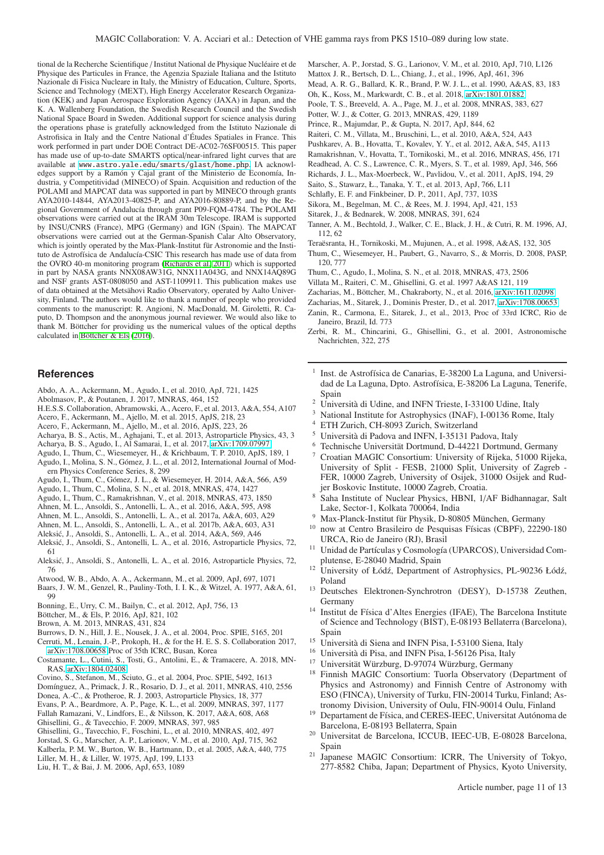tional de la Recherche Scientifique / Institut National de Physique Nucléaire et de Physique des Particules in France, the Agenzia Spaziale Italiana and the Istituto Nazionale di Fisica Nucleare in Italy, the Ministry of Education, Culture, Sports, Science and Technology (MEXT), High Energy Accelerator Research Organization (KEK) and Japan Aerospace Exploration Agency (JAXA) in Japan, and the K. A. Wallenberg Foundation, the Swedish Research Council and the Swedish National Space Board in Sweden. Additional support for science analysis during the operations phase is gratefully acknowledged from the Istituto Nazionale di Astrofisica in Italy and the Centre National d'Études Spatiales in France. This work performed in part under DOE Contract DE-AC02-76SF00515. This paper has made use of up-to-date SMARTS optical/near-infrared light curves that are available at <www.astro.yale.edu/smarts/glast/home.php>. IA acknowledges support by a Ramón y Cajal grant of the Ministerio de Economía, Industria, y Competitividad (MINECO) of Spain. Acquisition and reduction of the POLAMI and MAPCAT data was supported in part by MINECO through grants AYA2010-14844, AYA2013-40825-P, and AYA2016-80889-P, and by the Regional Government of Andalucía through grant P09-FQM-4784. The POLAMI observations were carried out at the IRAM 30m Telescope. IRAM is supported by INSU/CNRS (France), MPG (Germany) and IGN (Spain). The MAPCAT observations were carried out at the German-Spanish Calar Alto Observatory, which is jointly operated by the Max-Plank-Institut für Astronomie and the Instituto de Astrofísica de Andalucía-CSIC This research has made use of data from the OVRO 40-m monitoring program [\(Richards et al. 2011](#page-10-33)) which is supported in part by NASA grants NNX08AW31G, NNX11A043G, and NNX14AQ89G and NSF grants AST-0808050 and AST-1109911. This publication makes use of data obtained at the Metsähovi Radio Observatory, operated by Aalto University, Finland. The authors would like to thank a number of people who provided comments to the manuscript: R. Angioni, N. MacDonald, M. Giroletti, R. Caputo, D. Thompson and the anonymous journal reviewer. We would also like to thank M. Böttcher for providing us the numerical values of the optical depths calculated in [Böttcher & Els \(2016\)](#page-10-51).

## **References**

- <span id="page-10-5"></span>Abdo, A. A., Ackermann, M., Agudo, I., et al. 2010, ApJ, 721, 1425
- <span id="page-10-58"></span>Abolmasov, P., & Poutanen, J. 2017, MNRAS, 464, 152
- <span id="page-10-1"></span>H.E.S.S. Collaboration, Abramowski, A., Acero, F., et al. 2013, A&A, 554, A107
- <span id="page-10-15"></span>Acero, F., Ackermann, M., Ajello, M. et al. 2015, ApJS, 218, 23
- <span id="page-10-14"></span>Acero, F., Ackermann, M., Ajello, M., et al. 2016, ApJS, 223, 26
- <span id="page-10-59"></span>Acharya, B. S., Actis, M., Aghajani, T., et al. 2013, Astroparticle Physics, 43, 3
- <span id="page-10-60"></span>Acharya, B. S., Agudo, I., Al Samarai, I., et al. 2017, [arXiv:1709.07997](http://arxiv.org/abs/1709.07997)
- <span id="page-10-40"></span>Agudo, I., Thum, C., Wiesemeyer, H., & Krichbaum, T. P. 2010, ApJS, 189, 1
- <span id="page-10-25"></span>Agudo, I., Molina, S. N., Gómez, J. L., et al. 2012, International Journal of Modern Physics Conference Series, 8, 299
- <span id="page-10-41"></span>Agudo, I., Thum, C., Gómez, J. L., & Wiesemeyer, H. 2014, A&A, 566, A59
- <span id="page-10-36"></span>Agudo, I., Thum, C., Molina, S. N., et al. 2018, MNRAS, 474, 1427
- <span id="page-10-37"></span>Agudo, I., Thum, C., Ramakrishnan, V., et al. 2018, MNRAS, 473, 1850
- <span id="page-10-56"></span>Ahnen, M. L., Ansoldi, S., Antonelli, L. A., et al. 2016, A&A, 595, A98
- <span id="page-10-4"></span>Ahnen, M. L., Ansoldi, S., Antonelli, L. A., et al. 2017a, A&A, 603, A29
- <span id="page-10-48"></span>Ahnen, M. L., Ansoldi, S., Antonelli, L. A., et al. 2017b, A&A, 603, A31
- <span id="page-10-3"></span>Aleksić, J., Ansoldi, S., Antonelli, L. A., et al. 2014, A&A, 569, A46
- <span id="page-10-12"></span>Aleksić, J., Ansoldi, S., Antonelli, L. A., et al. 2016, Astroparticle Physics, 72,
- 61 Aleksić, J., Ansoldi, S., Antonelli, L. A., et al. 2016, Astroparticle Physics, 72,
- <span id="page-10-18"></span>76 Atwood, W. B., Abdo, A. A., Ackermann, M., et al. 2009, ApJ, 697, 1071
- <span id="page-10-43"></span><span id="page-10-13"></span>Baars, J. W. M., Genzel, R., Pauliny-Toth, I. I. K., & Witzel, A. 1977, A&A, 61,
- 99
- <span id="page-10-27"></span>Bonning, E., Urry, C. M., Bailyn, C., et al. 2012, ApJ, 756, 13
- <span id="page-10-51"></span>Böttcher, M., & Els, P. 2016, ApJ, 821, 102
- <span id="page-10-6"></span>Brown, A. M. 2013, MNRAS, 431, 824
- <span id="page-10-20"></span>Burrows, D. N., Hill, J. E., Nousek, J. A., et al. 2004, Proc. SPIE, 5165, 201
- <span id="page-10-53"></span>Cerruti, M., Lenain, J.-P., Prokoph, H., & for the H. E. S. S. Collaboration 2017, [arXiv:1708.00658](http://arxiv.org/abs/1708.00658) Proc of 35th ICRC, Busan, Korea
- <span id="page-10-61"></span>Costamante, L., Cutini, S., Tosti, G., Antolini, E., & Tramacere, A. 2018, MN-RAS, [arXiv:1804.02408](http://arxiv.org/abs/1804.02408)
- <span id="page-10-31"></span>Covino, S., Stefanon, M., Sciuto, G., et al. 2004, Proc. SPIE, 5492, 1613
- <span id="page-10-44"></span>Domínguez, A., Primack, J. R., Rosario, D. J., et al. 2011, MNRAS, 410, 2556
- <span id="page-10-52"></span>Donea, A.-C., & Protheroe, R. J. 2003, Astroparticle Physics, 18, 377
- <span id="page-10-21"></span>Evans, P. A., Beardmore, A. P., Page, K. L., et al. 2009, MNRAS, 397, 1177
- <span id="page-10-22"></span>Fallah Ramazani, V., Lindfors, E., & Nilsson, K. 2017, A&A, 608, A68
- <span id="page-10-57"></span>Ghisellini, G., & Tavecchio, F. 2009, MNRAS, 397, 985
- <span id="page-10-46"></span>Ghisellini, G., Tavecchio, F., Foschini, L., et al. 2010, MNRAS, 402, 497
- <span id="page-10-26"></span>Jorstad, S. G., Marscher, A. P., Larionov, V. M., et al. 2010, ApJ, 715, 362
- <span id="page-10-23"></span>Kalberla, P. M. W., Burton, W. B., Hartmann, D., et al. 2005, A&A, 440, 775
- <span id="page-10-55"></span><span id="page-10-9"></span>Liller, M. H., & Liller, W. 1975, ApJ, 199, L133 Liu, H. T., & Bai, J. M. 2006, ApJ, 653, 1089
- <span id="page-10-2"></span>Marscher, A. P., Jorstad, S. G., Larionov, V. M., et al. 2010, ApJ, 710, L126
- <span id="page-10-16"></span>Mattox J. R., Bertsch, D. L., Chiang, J., et al., 1996, ApJ, 461, 396
- <span id="page-10-32"></span>Mead, A. R. G., Ballard, K. R., Brand, P. W. J. L., et al. 1990, A&AS, 83, 183
- <span id="page-10-47"></span><span id="page-10-28"></span>Oh, K., Koss, M., Markwardt, C. B., et al. 2018, [arXiv:1801.01882](http://arxiv.org/abs/1801.01882) Poole, T. S., Breeveld, A. A., Page, M. J., et al. 2008, MNRAS, 383, 627
	- Potter, W. J., & Cotter, G. 2013, MNRAS, 429, 1189
- <span id="page-10-50"></span>
- <span id="page-10-8"></span>Prince, R., Majumdar, P., & Gupta, N. 2017, ApJ, 844, 62 Raiteri, C. M., Villata, M., Bruschini, L., et al. 2010, A&A, 524, A43
- <span id="page-10-29"></span>
- <span id="page-10-49"></span>Pushkarev, A. B., Hovatta, T., Kovalev, Y. Y., et al. 2012, A&A, 545, A113 Ramakrishnan, V., Hovatta, T., Tornikoski, M., et al. 2016, MNRAS, 456, 171
- <span id="page-10-35"></span>
- <span id="page-10-42"></span>Readhead, A. C. S., Lawrence, C. R., Myers, S. T., et al. 1989, ApJ, 346, 566 Richards, J. L., Max-Moerbeck, W., Pavlidou, V., et al. 2011, ApJS, 194, 29
- <span id="page-10-33"></span><span id="page-10-7"></span>Saito, S., Stawarz, Ł., Tanaka, Y. T., et al. 2013, ApJ, 766, L11
- <span id="page-10-17"></span>Schlafly, E. F. and Finkbeiner, D. P., 2011, ApJ, 737, 103S
- <span id="page-10-45"></span>Sikora, M., Begelman, M. C., & Rees, M. J. 1994, ApJ, 421, 153
- <span id="page-10-54"></span>Sitarek, J., & Bednarek, W. 2008, MNRAS, 391, 624
- 
- <span id="page-10-0"></span>Tanner, A. M., Bechtold, J., Walker, C. E., Black, J. H., & Cutri, R. M. 1996, AJ, 112, 62
- <span id="page-10-34"></span>Teraësranta, H., Tornikoski, M., Mujunen, A., et al. 1998, A&AS, 132, 305
- <span id="page-10-39"></span>Thum, C., Wiesemeyer, H., Paubert, G., Navarro, S., & Morris, D. 2008, PASP, 120, 777
- <span id="page-10-38"></span>Thum, C., Agudo, I., Molina, S. N., et al. 2018, MNRAS, 473, 2506
- <span id="page-10-24"></span>Villata M., Raiteri, C. M., Ghisellini, G. et al. 1997 A&AS 121, 119
- <span id="page-10-10"></span>Zacharias, M., Böttcher, M., Chakraborty, N., et al. 2016, [arXiv:1611.02098](http://arxiv.org/abs/1611.02098)
- <span id="page-10-11"></span>Zacharias, M., Sitarek, J., Dominis Prester, D., et al. 2017, [arXiv:1708.00653](http://arxiv.org/abs/1708.00653)
- <span id="page-10-19"></span>Zanin, R., Carmona, E., Sitarek, J., et al., 2013, Proc of 33rd ICRC, Rio de Janeiro, Brazil, Id. 773
- <span id="page-10-30"></span>Zerbi, R. M., Chincarini, G., Ghisellini, G., et al. 2001, Astronomische Nachrichten, 322, 275
- 1 Inst. de Astrofísica de Canarias, E-38200 La Laguna, and Universidad de La Laguna, Dpto. Astrofísica, E-38206 La Laguna, Tenerife, Spain
- <sup>2</sup> Università di Udine, and INFN Trieste, I-33100 Udine, Italy
- <sup>3</sup> National Institute for Astrophysics (INAF), I-00136 Rome, Italy  $\frac{4}{5}$  ETU Zurich, CH 8002 Zurich, Suitzerland
- <sup>4</sup> ETH Zurich, CH-8093 Zurich, Switzerland<br>5 University di Pedeva and INEN J 25121 Pe
- <sup>5</sup> Università di Padova and INFN, I-35131 Padova, Italy
- <sup>6</sup> Technische Universität Dortmund, D-44221 Dortmund, Germany
- <sup>7</sup> Croatian MAGIC Consortium: University of Rijeka, 51000 Rijeka, University of Split - FESB, 21000 Split, University of Zagreb - FER, 10000 Zagreb, University of Osijek, 31000 Osijek and Rudjer Boskovic Institute, 10000 Zagreb, Croatia.
- <sup>8</sup> Saha Institute of Nuclear Physics, HBNI, 1/AF Bidhannagar, Salt Lake, Sector-1, Kolkata 700064, India
- <sup>9</sup> Max-Planck-Institut für Physik, D-80805 München, Germany
- <sup>10</sup> now at Centro Brasileiro de Pesquisas Físicas (CBPF), 22290-180 URCA, Rio de Janeiro (RJ), Brasil
- <sup>11</sup> Unidad de Partículas y Cosmología (UPARCOS), Universidad Complutense, E-28040 Madrid, Spain
- <sup>12</sup> University of Łódź, Department of Astrophysics, PL-90236 Łódź, Poland
- <sup>13</sup> Deutsches Elektronen-Synchrotron (DESY), D-15738 Zeuthen, Germany
- <sup>14</sup> Institut de Física d'Altes Energies (IFAE), The Barcelona Institute of Science and Technology (BIST), E-08193 Bellaterra (Barcelona), Spain
- <sup>15</sup> Università di Siena and INFN Pisa, I-53100 Siena, Italy
- <sup>16</sup> Università di Pisa, and INFN Pisa, I-56126 Pisa, Italy
- <sup>17</sup> Universität Würzburg, D-97074 Würzburg, Germany<br><sup>18</sup> Einnich MAGIC Consertium: Tuorla Observatory (1
- Finnish MAGIC Consortium: Tuorla Observatory (Department of Physics and Astronomy) and Finnish Centre of Astronomy with ESO (FINCA), University of Turku, FIN-20014 Turku, Finland; Astronomy Division, University of Oulu, FIN-90014 Oulu, Finland
- <sup>19</sup> Departament de Física, and CERES-IEEC, Universitat Autónoma de Barcelona, E-08193 Bellaterra, Spain
- <sup>20</sup> Universitat de Barcelona, ICCUB, IEEC-UB, E-08028 Barcelona, Spain
- <sup>21</sup> Japanese MAGIC Consortium: ICRR, The University of Tokyo, 277-8582 Chiba, Japan; Department of Physics, Kyoto University,

Article number, page 11 of 13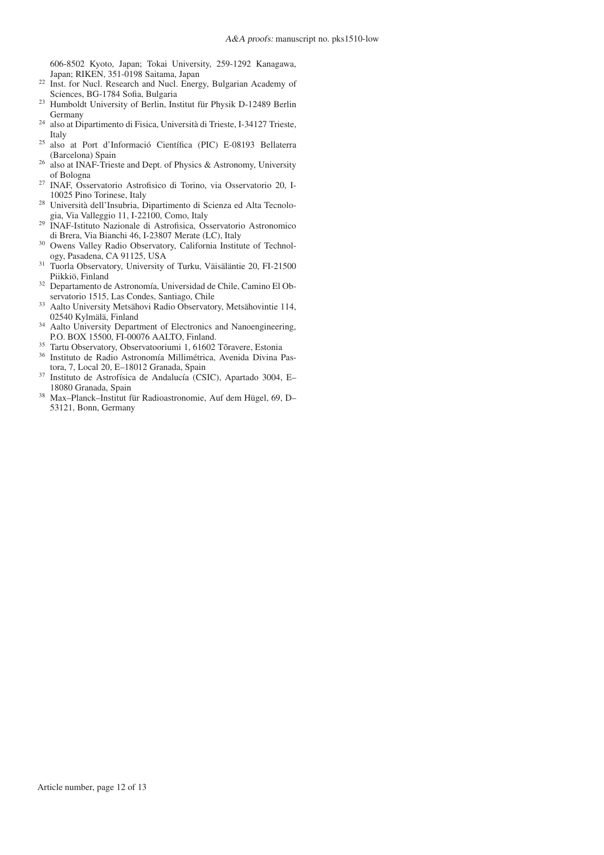606-8502 Kyoto, Japan; Tokai University, 259-1292 Kanagawa, Japan; RIKEN, 351-0198 Saitama, Japan

- <sup>22</sup> Inst. for Nucl. Research and Nucl. Energy, Bulgarian Academy of Sciences, BG-1784 Sofia, Bulgaria
- <sup>23</sup> Humboldt University of Berlin, Institut für Physik D-12489 Berlin Germany
- <sup>24</sup> also at Dipartimento di Fisica, Università di Trieste, I-34127 Trieste, Italy
- <sup>25</sup> also at Port d'Informació Científica (PIC) E-08193 Bellaterra (Barcelona) Spain
- <sup>26</sup> also at INAF-Trieste and Dept. of Physics & Astronomy, University of Bologna
- <sup>27</sup> INAF, Osservatorio Astrofisico di Torino, via Osservatorio 20, I-10025 Pino Torinese, Italy
- <sup>28</sup> Università dell'Insubria, Dipartimento di Scienza ed Alta Tecnologia, Via Valleggio 11, I-22100, Como, Italy
- <sup>29</sup> INAF-Istituto Nazionale di Astrofisica, Osservatorio Astronomico di Brera, Via Bianchi 46, I-23807 Merate (LC), Italy
- <sup>30</sup> Owens Valley Radio Observatory, California Institute of Technology, Pasadena, CA 91125, USA
- <sup>31</sup> Tuorla Observatory, University of Turku, Väisäläntie 20, FI-21500 Piikkiö, Finland
- <sup>32</sup> Departamento de Astronomía, Universidad de Chile, Camino El Observatorio 1515, Las Condes, Santiago, Chile
- <sup>33</sup> Aalto University Metsähovi Radio Observatory, Metsähovintie 114, 02540 Kylmälä, Finland
- <sup>34</sup> Aalto University Department of Electronics and Nanoengineering, P.O. BOX 15500, FI-00076 AALTO, Finland.
- <sup>35</sup> Tartu Observatory, Observatooriumi 1, 61602 Tõravere, Estonia
- <sup>36</sup> Instituto de Radio Astronomía Millimétrica, Avenida Divina Pastora, 7, Local 20, E–18012 Granada, Spain
- <sup>37</sup> Instituto de Astrofísica de Andalucía (CSIC), Apartado 3004, E– 18080 Granada, Spain
- <sup>38</sup> Max–Planck–Institut für Radioastronomie, Auf dem Hügel, 69, D– 53121, Bonn, Germany